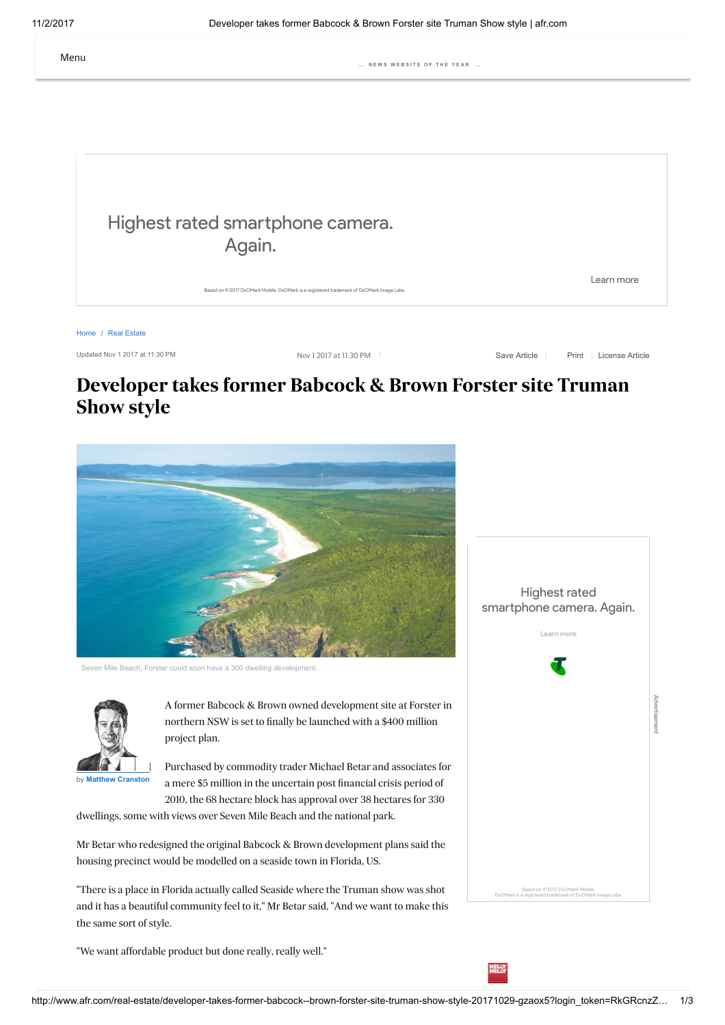

Updated Nov 1 2017 at 11:30 PM Nov 1 2017 at 11:30 PM

Save Article | [Print](javascript:window.print();) | [License Article](http://rightsportal.copyright.com.au/pages/republicationpage.aspx?publisher=fxj&publication=AFR&author=Matthew%20Cranston&title=Developer+takes+former+Babcock+%26+Brown+Forster+site+Truman+Show+style+&publicationdate=01/11/2017&url=http://www.afr.com/real-estate/developer-takes-former-babcock--brown-forster-site-truman-show-style-20171029-gzaox5)

# Developer takes former Babcock & Brown Forster site Truman Show style



Seven Mile Beach, Forster could soon have a 300 dwelling de



A former Babcock & Brown owned development site at Forster in northern NSW is set to finally be launched with a \$400 million project plan.

Purchased by commodity trader Michael Betar and associates for a mere \$5 million in the uncertain post financial crisis period of 2010, the 68 hectare block has approval over 38 hectares for 330

dwellings, some with views over Seven Mile Beach and the national park.

Mr Betar who redesigned the original Babcock & Brown development plans said the housing precinct would be modelled on a seaside town in Florida, US.

"There is a place in Florida actually called Seaside where the Truman show was shot and it has a beautiful community feel to it," Mr Betar said, "And we want to make this the same sort of style.

"We want affordable product but done really, really well."



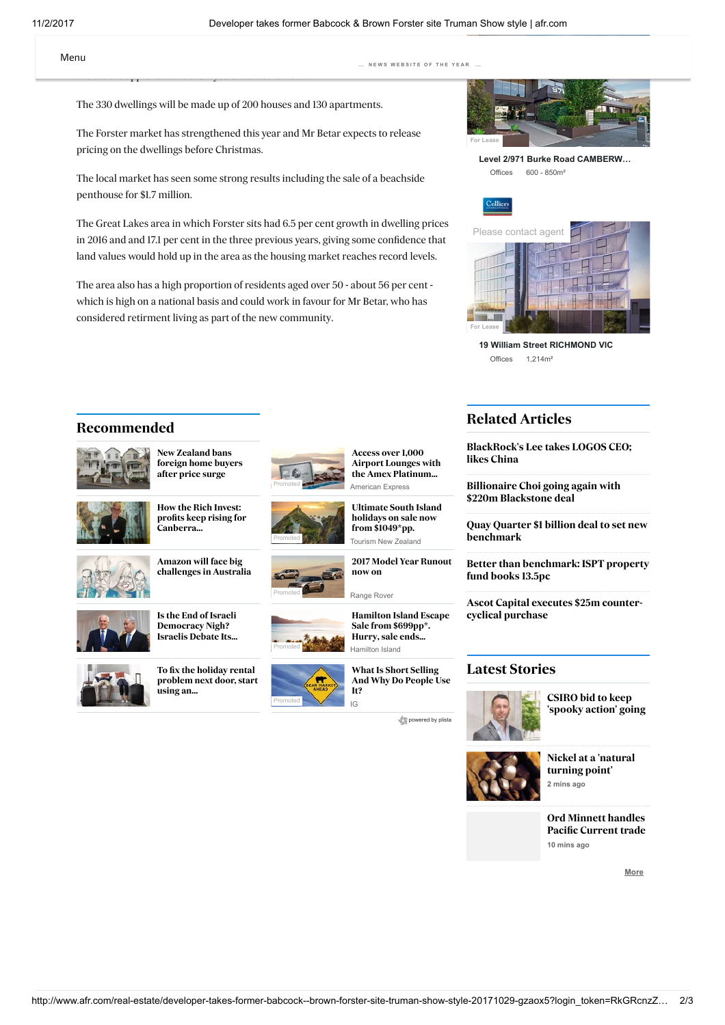The 330 dwellings will be made up of 200 houses and 130 apartments.

ensure the approval time of six years did not run out.

The Forster market has strengthened this year and Mr Betar expects to release pricing on the dwellings before Christmas.

The local market has seen some strong results including the sale of a beachside penthouse for \$1.7 million.

The Great Lakes area in which Forster sits had 6.5 per cent growth in dwelling prices in 2016 and and 17.1 per cent in the three previous years, giving some confidence that land values would hold up in the area as the housing market reaches record levels.

The area also has a high proportion of residents aged over 50 - about 56 per cent which is high on a national basis and could work in favour for Mr Betar, who has considered retirment living as part of the new community.



[Level 2/971 Burke Road CAMBERW…](https://www.commercialrealestate.com.au/property/level-2-971-burke-road-camberwell-vic-3124-11301003) Offices 600 - 850m²



[19 William Street RICHMOND VIC](https://www.commercialrealestate.com.au/property/19-william-street-richmond-vic-3121-11721563) Offices  $1.214$ m<sup>2</sup>

## Recommended



New Zealand bans [foreign home buyers](http://click.plista.com/redirect.php?friendid=0&frienddomainid=242684&widgetid=41361&itemid=421216811&campaignid=0&position=1&redirect=1&bv=_0_VVJrjh4xCLtOR0IR5p2erYevmW9X7WZ-hARjPCYigosbaMGEQhGC0ryOFEuEjYlYzaSIPsjMsGBs4lwQ5AB6WaWlbhJXzXggb-rNMQxjy3FmBJISBhvcKl4HmYPQdpaywXHCZv7oWTXdo-fgwA5UTzLk-Ree3ziuOpa6SFw2wQvED6A9v-2bCIu8keXpC7Vj7IYv5MNg-LeZL83pe1K_c8a4LkXwYqn_ZSiZPqm6rHuhFfVxb7ok4EV_esZzzVtHbqZps6ySZrNsKx9jHrwUwGfzPhlVBEdEIzkcgXXmesYReWdQbTIXbmyF6elrK8I7-qW6NhV7lR71sn9GPaWfPa-8c-IYljMYMlVIsl7N7KaraSucwnZbxi3fpf_P182771cTostUQ2cDMoAqKv02LuUMidkLFTlq-PFOTNF8TQYY5_tK-7wQfVT2-3hK_QNi6xXysFnnRf4F) after price surge



How the Rich Invest: [profits keep rising for](http://click.plista.com/redirect.php?friendid=0&frienddomainid=242684&widgetid=41361&itemid=421216410&campaignid=0&position=3&redirect=1&bv=_0_VVJrjh4xCLtOR0IR5p09Ww9fM9-u1M38CAnGeExEBBc30IIJhSIEpXkdKZYIGxOxmkkRfZCZYcHYxLkgyAH0skpL3SSumvFA3tSbYxjGluPMCCQlDDa4VbwOMgeh7Sxlg-OEzfzVs2q6R8_BgR2onmTI8x88XziuOpa6SFw2wQvEL6A9X_ZDhEXeyPL0hdoxdsM38rGTWpeNeLHlqT8ZyqIXqi7rUGhFfRyaLgl40YOe8VyD9q9vpmmzrJKGsmwrH2MevBTAZ_M-GVUER0QjOQCBdeb6wjF4Z0wimQs3tsL09LUV4R39Ul2bir1Kj3rZP-Oc0s-eV95Z0OrlDIZMFZKsVzO76VzaCqew3ZZxy3fp_zN08-773YToMtXQ2YAMoIpKv41LOUNi9kJFjhp-vQVTNF-MAcYZvtI-r0Aflf0-nlL_gNh6hTxs1nmR_wA) Canberra...



Amazon will face big [challenges in Australia](http://click.plista.com/redirect.php?friendid=0&frienddomainid=242684&widgetid=41361&itemid=421248128&campaignid=0&position=5&redirect=1&bv=_0_VVJrjh4xCLtOR0IR5p2erYevmW9X7WZ-hARjPCYigosbaMGEQhGC0ryOFEuEjYlYzaSIPsjMsGBs4lwQ5AB6WaWlbhJXzXggb-rNMQxjy3FmBJISBhvcKl4HmYPQdpaywXHCZv7oWTXdo-fgwA5UTzLk-Ree3ziuOpa6SFw2wQvED6A9v-2bCIu8keXpC7Vj7IYv5MNg-LeZL83pe1K_c8a4LkXwYqn_ZSiZPqm6rHuhFfVxb7ok4EV_esZzzVtHbqZps6ySZrNsKx9jHrwUwGfzPhlVBEdEIzkcgXXmesYReWdQbTIXbmyF6elrK8I7-qW6NhV7lR71sn9GPaWfPa-8c-IYljMYMlVIsl7N7KaraSucwnZbxi3fpf_P182771cTostUQ2cDMoAqKv02LuUMidkLFTlq-PFOTNF8TQYY5_tK-7wQfVT2-3hK_QNi6xXysFnnRf4F)



Is the End of Israeli Democracy Nigh? [Israelis Debate Its...](http://click.plista.com/redirect.php?friendid=0&frienddomainid=242684&widgetid=41361&itemid=421244184&campaignid=0&position=7&redirect=1&bv=_0_VVJtbugwCLvOq4QqzHd2th1-pt20t_RHSTDGMRERHJxACyYUihCU5nGkWCJsTMRqJkX0QmaGBWMT54IgB9DDKi11kzhqxg15U0-OYRhbjjMjkJQw2OBU8TjIHIS2s5QNbids5lPvVdM9et-4YTdU72TI_T9cH7hddSx1kThsggeIP0C7PuyHCJ_MDS-U-SDvPnfqN_AyxnXYhwdb_ZuhKlqh6rIGhVbUa9B0ScCLFvSM5_qzlz6Zps2ySvrJsq28jHnwUACfzftkVBEcEY2k_wLrzLWFU_DOoNpkLtzYCtPTx1aEd_RDdWwq9ig96mF_pzml7z-PPKOg08sZDJkqJFmPZnbTuLQVTmH7W8Yt36X_j9DNu893E6LLVENnAzKAKir9NA7lDInZCxU5avjzFEzRfDAGGEf4SHsfgV4q-72eUv-A2HqEXGzWeZBf)



To fix the holiday rental [problem next door, start](http://click.plista.com/redirect.php?friendid=0&frienddomainid=242684&widgetid=41361&itemid=421216998&campaignid=0&position=9&redirect=1&bv=_0_VVJrjh4xCLtOR0IR5p2erYevmW9X7WZ-hARjPCYigosbaMGEQhGC0ryOFEuEjYlYzaSIPsjMsGBs4lwQ5AB6WaWlbhJXzXggb-rNMQxjy3FmBJISBhvcKl4HmYPQdpaywXHCZv7oWTXdo-fgwA5UTzLk-Ree3ziuOpa6SFw2wQvED6A9v-2bCIu8keXpC7Vj7IYv5MNg-LeZL83pe1K_c8a4LkXwYqn_ZSiZPqm6rHuhFfVxb7ok4EV_esZzzVtHbqZps6ySZrNsKx9jHrwUwGfzPhlVBEdEIzkcgXXmesYReWdQbTIXbmyF6elrK8I7-qW6NhV7lR71sn9GPaWfPa-8c-IYljMYMlVIsl7N7KaraSucwnZbxi3fpf_P182771cTostUQ2cDMoAqKv02LuUMidkLFTlq-PFOTNF8TQYY5_tK-7wQfVT2-3hK_QNi6xXysFnnRf4F) .<br>using an...





Tourism New Zealand [Ultimate South Island](http://click.plista.com/pets/?friendid=0&frienddomainid=242684&widgetid=41361&itemid=407320417&campaignid=262134&bucketid=0&rh=9c9ae20a1cd352e2bc64fcd5e28ca140&lh=59fa656470dc49.05805920&bv=_0_XVMLrqQwDLvOIlVVnH_nbHv4dSlPw1tAtMSJ60k8YwwsLEcNtAsEPpASyxBDA66tY2h2xxhyISJcnXsdxgsD0YAsVkmK6fAlyjdpQ1a0ooXJ0UZgYMRwhTZWJsNO4p1axkryT4RbYv2V6a3pNqfwjvuNOf9cmFhL0Pzgdi6ZllyFGC6dIILKeYfii12fn8Iit0ryiUNu9pvdSuwhIPRlIHlbxdIH8ze7Hr36Eo6pxIXMmfIk2vWxk-DMfIlV_z_Vrw9j1RUQ5ho6Vp2jPe7fLkexqhb0R9UX2XqV9H0QfBG72eBPl14IZ8C5i9jYbnBJz-OGrhwOjoaz6rbYZtgjXhEqxbIMmodlu_JS4mBwANYbtw7PZLK7F4JmG9CK2Cag5dhWp6Ag5qY8imPqWrpFWHndVEubDWYozPNmP9btlLPG2mQ7rJvTuSWUCLIuiahiv0O3cArby2bc5fuSt2FNrWo9hzCbdhGX3hsygCoybBUW5TSJeRbSo0Xxy_gqKP47FFCTI-1YXi4Z-z49pf4Gc_MWcvEw-gzxDw&tend=1509610980&crc=74d8c11e3a4e9965f4003011e9d2153b) holidays on sale now from \$1049\*pp.

[2017 Model Year Runout](http://click.plista.com/pets/?friendid=0&frienddomainid=242684&widgetid=41361&itemid=414418559&campaignid=262597&bucketid=0&rh=9c9ae20a1cd352e2bc64fcd5e28ca140&lh=59fa6564729875.21353431&bv=_0_XVMLrtswDLvOAhiBqL97th1-VJK3dEuKxjUpipHZtRY2tqMW2gUCX0iJbYilAdfWtTS7Yy05EBGuzrUu44WFaEA2qyTFdPkW1ZWUDdnRihaSo43AworlCm3sJEWdwk5qGSupfyLcEvs3V3sLGucJ3lvO5EPO8xcObhBA5XltxV_o0NNb0-3kzwHmGwN88OgVlVWSn7hJZi9rSFZijzChL2W0VWx9IH-hz9NVKf3THqcSF-pmykO042M3wef13ldQ_5_qx4d71RUQcg0du-7OHtdA5ParqgX9MfUiY1cp3zeCF7FLDf7M7gvh_HnmIrYmCS7peSehK5eDx8Jz6raYIMzx7giVYlkGg8OyqTyUOLi5AOvBrcMzSXb3QjBoC1oREwDGjVN1GgpibspWPKSurWPCyuuS2tocMLfCPC_1O7adcj9jj9hs62g6l4QSQdUtEVWcd-gYp7F5jOKUzyXfYTW1qv00IZthEZeeBRVAFxm2C5t2msLshfRoUfwTehUU_xkKqMlt7Y67HLLmvmdK_w1y8zJysBljhvgD&tend=1509610980&crc=378a12dbcb65cd4d73ea8fb7250ce16f) now on

Promoted Hamilton Island [Hamilton Island Escape](http://click.plista.com/pets/?friendid=0&frienddomainid=242684&widgetid=41361&itemid=420230274&campaignid=264087&bucketid=0&rh=9c9ae20a1cd352e2bc64fcd5e28ca140&lh=59fa656474b526.70151115&bv=_0_VVMNzqswDLvOh1RVcf67s73DP5cybYOJdonjmsSMMbCwHDXQLhD4QEosQwwNuLaOodkdY8iFiHB17nUYLwxEA7JYJSmmw5eojiZtyIpWtBAcbUwMjBiu0MbKZNhJ7ISWsZL8E-GWWP-4W0vQmBO8l0x1rjLnHy5Mb023yf8y434S-HfpBEtQOW9sfIquFx7G2txtFUsPyvwLhqmS_MXhNvshX1ZiDzlTX-x6JCnJ39pIlRPC6kx5gHa97AB8y_iI3VS_UL9ejFVXQIg1dKw6R3vcTXkLVi3o-2U-Gepl9yv7ZPDJ2M0Gf7r0leEMOHcRG9sNLul53NCVw8HRcFbdFtsMe8QrQqVYlkHzsGxXXso8GByA9c5bh2cS7O6FoNkGtCK2CWg5TsMpKJhzUx7FMXUt3SKsvG6qpc0GMxTmebMf63bKWWNtsh3WzencMpUIsi6JqGK_Q7dwCtvLZtzl-5Jvw5pa1XoOIZqWEJfeGzKAKjJsFRblNIl5FtKjRfFjfBUUvw4F1ORIO5aXS8a-T0-pv0Fs3kIuHkZ7Iv4D&tend=1509610980&crc=9fe3a3a0d374d876bebe780a82605187) Sale from \$699pp\*. Hurry, sale ends...

It?

[BlackRock's Lee takes LOGOS CEO;](http://www.afr.com/real-estate/blackrocks-lee-takes-logos-ceo-role-keen-for-china-expansion-20171101-gzcf52)

Related Articles

likes China

[Billionaire Choi going again with](http://www.afr.com/real-estate/billionaire-francis-choi-going-again-with-220m-blackstone-deal-20171031-gzcawu) \$220m Blackstone deal

[Quay Quarter \\$1 billion deal to set new](http://www.afr.com/real-estate/quay-quarter-1-billion-deal-to-set-new-benchmark-20171031-gzc4q4) benchmark

[Better than benchmark: ISPT property](http://www.afr.com/real-estate/better-than-benchmark-ispt-property-fund-books-135pc-20171031-gzbmuq) fund books 13.5pc

[Ascot Capital executes \\$25m counter](http://www.afr.com/real-estate/ascot-capital-executes-25-million-countercyclical-acquisition-20171025-gz7wsf)cyclical purchase

### [Latest Stories](http://www.afr.com/latest)



CSIRO bid to keep ['spooky action' going](http://www.afr.com/leadership/entrepreneur/csiros-main-sequence-ventures-backs-qctrl-a-quantum-computing-firmware-startup-20171031-gzc0to)

[Nickel at a 'natural](http://www.afr.com/markets/australias-nickel-industry-is-at-a-natural-turning-point-20171101-gzd3xf) turning point' 2 mins ago

Ord Minnett handles [Pacific Current trade](http://www.afr.com/street-talk/ord-minnett-handles-pacific-current-trade-20171101-gzd5ok) 10 mins ago

[More](http://www.afr.com/latest)

American Express [Airport Lounges with](http://click.plista.com/pets/?friendid=0&frienddomainid=242684&widgetid=41361&itemid=414785489&campaignid=263050&bucketid=0&rh=9c9ae20a1cd352e2bc64fcd5e28ca140&lh=59fa65646e3a10.44476571&bv=_0_XVMLbuswDLvOC2AYov7u2Xb40XG2di8pGlekaFZmxhhYWI4aaBcIfCAlliGGBlxbx9DsjjHkQkS4Otc6jBcGogFZ7JIU0-FLVIkSkBWtaCE52ggMjBiu0MbKZNkp7KSWsZP6E-GWWF8yvTXd5hTecX9jzn8XJtYSNH9wOZfM5EMI4dIJAqicdyl-oev101ZUxrISe0hmbxZJbRVLH8jfkE6V5CeOIXb9Onrp8aofpjGVrUJGpjwadr3sEHybeDtV_5_q14u16goIuYaOVceUx_2_H7-qWtAfv2-Ek-DkK_sgeCN2q8GfEX0gnD_PXMTGToJLep4kdOVw8Fh4Tt0WOwj7eFeESrEtg8Fh2-68lDhYHID1xq3DM0l290IwaANaETsAjBsH7jQUxNyUW_GQupZuE1Zet9TS5oBZCvO81U9sO-U8Y22xXdat6VwSSgRVl0RUcd6h2ziN7cdW3O37ks-wmlrVejYhm8cuLr0XVABdZNgqLNppCnMvpEeL4k_oVVB8MxRQk2PtxF0uGfs-M6X_Brl5G7m4GROI-AY&tend=1509610980&crc=6b88f16491bd50fffc45f5586df616a1) the Amex Platinum...

Promoted **IG** 

Access over 1,000

Range Rover

What Is Short Selling [And Why Do People Use](http://click.plista.com/pets/?friendid=0&frienddomainid=242684&widgetid=41361&itemid=418283399&campaignid=263987&bucketid=0&rh=9c9ae20a1cd352e2bc64fcd5e28ca140&lh=59fa656478be30.34047668&bv=_0_XVOLjuNACPudi4RGmPf02-7jz5N0t7uXVg0Zg3HBERFs7EALJhSKEJTmdqRYImxMxGomRfRCZoYFYxPnBUEOoJtVWuomsdWMD-RN3TmGYWw5TkQgKWGwwa7icZA5mNrOUjZYyPDC_ssIJO5aC0tXrtI7WH8uLOytRA-Ua-sHw2Urxip88fmUnV-cqtdXWZPbtPjNJ8n9k8Wk8c5th9uWx4--RgJv9bckln2w17uvkfxLAAlqQZlT34l-vfxJiN9_0eL_1LhePOvphDLXMbn7aR3J2_c0zKxh9lb1QaiX0--aB8EH8ZsN8Z7tD4Q74OJVXY4dQivqscN0SYCr4a5mPI8bzop3pmmzrJLuYdmpvIw4eCiAz8F9MqqYHBGNpNsE1pnHBPQcRx4UlMTCja24pultR4R39E21bThgHqVH3eyPd6f0ueeW23j01eEMhoQKSdatmd2cd9oRTmHndhhP-bn0p2HdvHu_mzCbdtHQOQEZQBWVvhubcobE7IWKHDX8Mr4pmq-HAeb6SHssr5fK-Twzpf4Bc-sWcrEZPYj8Bw&tend=1509610980&crc=265cc92be795b0e18b4f763bc51b96ca)

 $\rho$  [powered by plista](http://www.plista.com/au)